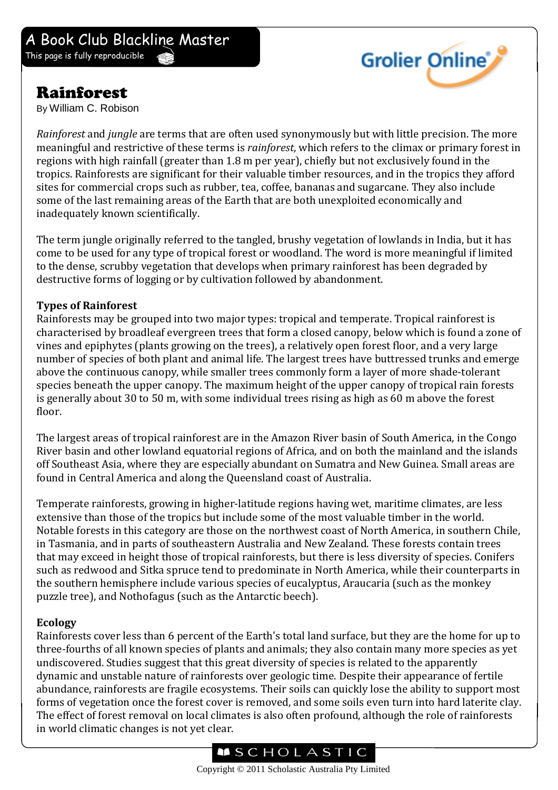# Rainforest

By William C. Robison



*Rainforest* and *jungle* are terms that are often used synonymously but with little precision. The more meaningful and restrictive of these terms is *rainforest*, which refers to the climax or primary forest in regions with high rainfall (greater than 1.8 m per year), chiefly but not exclusively found in the tropics. Rainforests are significant for their valuable timber resources, and in the tropics they afford sites for commercial crops such as rubber, tea, coffee, bananas and sugarcane. They also include some of the last remaining areas of the Earth that are both unexploited economically and inadequately known scientifically.

The term jungle originally referred to the tangled, brushy vegetation of lowlands in India, but it has come to be used for any type of tropical forest or woodland. The word is more meaningful if limited to the dense, scrubby vegetation that develops when primary rainforest has been degraded by destructive forms of logging or by cultivation followed by abandonment.

### **Types of Rainforest**

Rainforests may be grouped into two major types: tropical and temperate. Tropical rainforest is characterised by broadleaf evergreen trees that form a closed canopy, below which is found a zone of vines and epiphytes (plants growing on the trees), a relatively open forest floor, and a very large number of species of both plant and animal life. The largest trees have buttressed trunks and emerge above the continuous canopy, while smaller trees commonly form a layer of more shade-tolerant species beneath the upper canopy. The maximum height of the upper canopy of tropical rain forests is generally about 30 to 50 m, with some individual trees rising as high as 60 m above the forest floor.

The largest areas of tropical rainforest are in the Amazon River basin of South America, in the Congo River basin and other lowland equatorial regions of Africa, and on both the mainland and the islands off Southeast Asia, where they are especially abundant on Sumatra and New Guinea. Small areas are found in Central America and along the Queensland coast of Australia.

Temperate rainforests, growing in higher-latitude regions having wet, maritime climates, are less extensive than those of the tropics but include some of the most valuable timber in the world. Notable forests in this category are those on the northwest coast of North America, in southern Chile, in Tasmania, and in parts of southeastern Australia and New Zealand. These forests contain trees that may exceed in height those of tropical rainforests, but there is less diversity of species. Conifers such as redwood and Sitka spruce tend to predominate in North America, while their counterparts in the southern hemisphere include various species of eucalyptus, Araucaria (such as the monkey puzzle tree), and Nothofagus (such as the Antarctic beech).

### **Ecology**

Rainforests cover less than 6 percent of the Earth's total land surface, but they are the home for up to three-fourths of all known species of plants and animals; they also contain many more species as yet undiscovered. Studies suggest that this great diversity of species is related to the apparently dynamic and unstable nature of rainforests over geologic time. Despite their appearance of fertile abundance, rainforests are fragile ecosystems. Their soils can quickly lose the ability to support most forms of vegetation once the forest cover is removed, and some soils even turn into hard laterite clay. The effect of forest removal on local climates is also often profound, although the role of rainforests in world climatic changes is not yet clear.